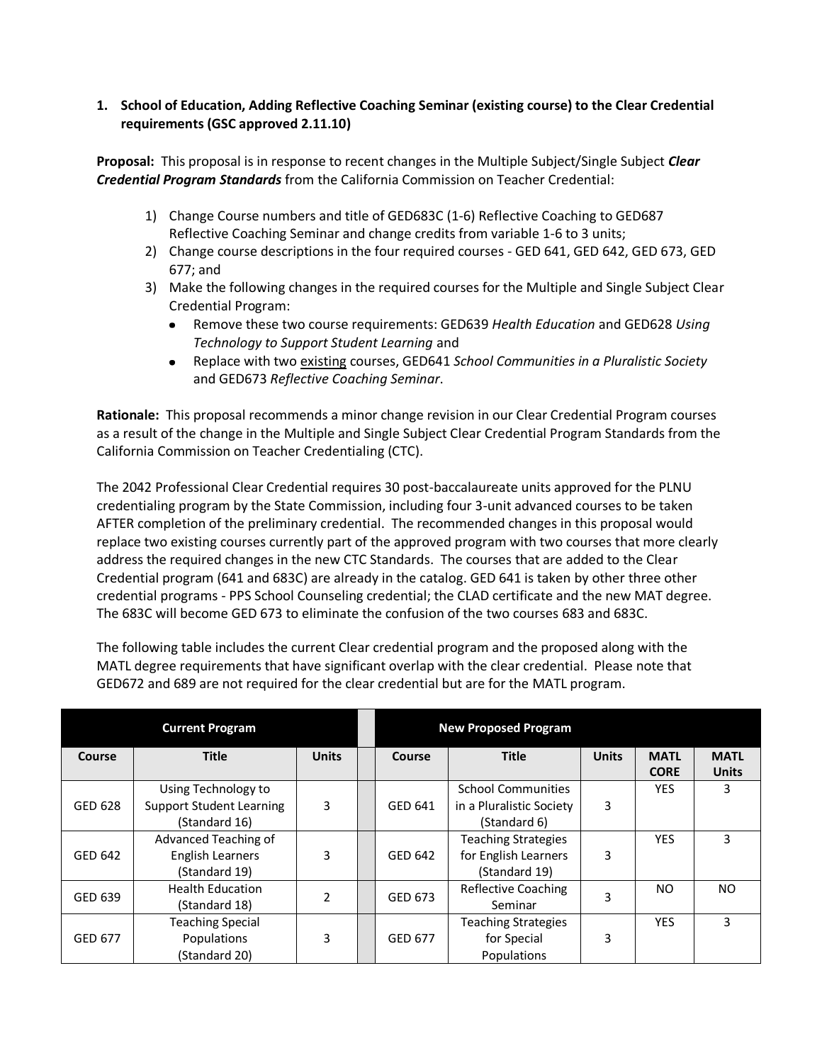#### **1. School of Education, Adding Reflective Coaching Seminar (existing course) to the Clear Credential requirements (GSC approved 2.11.10)**

**Proposal:** This proposal is in response to recent changes in the Multiple Subject/Single Subject *Clear Credential Program Standards* from the California Commission on Teacher Credential:

- 1) Change Course numbers and title of GED683C (1-6) Reflective Coaching to GED687 Reflective Coaching Seminar and change credits from variable 1-6 to 3 units;
- 2) Change course descriptions in the four required courses GED 641, GED 642, GED 673, GED 677; and
- 3) Make the following changes in the required courses for the Multiple and Single Subject Clear Credential Program:
	- Remove these two course requirements: GED639 *Health Education* and GED628 *Using Technology to Support Student Learning* and
	- Replace with two existing courses, GED641 *School Communities in a Pluralistic Society*  $\bullet$ and GED673 *Reflective Coaching Seminar*.

**Rationale:** This proposal recommends a minor change revision in our Clear Credential Program courses as a result of the change in the Multiple and Single Subject Clear Credential Program Standards from the California Commission on Teacher Credentialing (CTC).

The 2042 Professional Clear Credential requires 30 post-baccalaureate units approved for the PLNU credentialing program by the State Commission, including four 3-unit advanced courses to be taken AFTER completion of the preliminary credential. The recommended changes in this proposal would replace two existing courses currently part of the approved program with two courses that more clearly address the required changes in the new CTC Standards. The courses that are added to the Clear Credential program (641 and 683C) are already in the catalog. GED 641 is taken by other three other credential programs - PPS School Counseling credential; the CLAD certificate and the new MAT degree. The 683C will become GED 673 to eliminate the confusion of the two courses 683 and 683C.

The following table includes the current Clear credential program and the proposed along with the MATL degree requirements that have significant overlap with the clear credential. Please note that GED672 and 689 are not required for the clear credential but are for the MATL program.

| <b>Current Program</b> |                                 |              |  | <b>New Proposed Program</b> |                            |              |                            |                             |
|------------------------|---------------------------------|--------------|--|-----------------------------|----------------------------|--------------|----------------------------|-----------------------------|
| Course                 | <b>Title</b>                    | <b>Units</b> |  | Course                      | <b>Title</b>               | <b>Units</b> | <b>MATL</b><br><b>CORE</b> | <b>MATL</b><br><b>Units</b> |
| GED 628                | Using Technology to             |              |  |                             | <b>School Communities</b>  |              | <b>YES</b>                 | 3                           |
|                        | <b>Support Student Learning</b> | 3            |  | GED 641                     | in a Pluralistic Society   | 3            |                            |                             |
|                        | (Standard 16)                   |              |  |                             | (Standard 6)               |              |                            |                             |
| GED 642                | Advanced Teaching of            | 3            |  | GED 642                     | <b>Teaching Strategies</b> | 3            | <b>YES</b>                 | 3                           |
|                        | English Learners                |              |  |                             | for English Learners       |              |                            |                             |
|                        | (Standard 19)                   |              |  |                             | (Standard 19)              |              |                            |                             |
| GED 639                | <b>Health Education</b>         | 2            |  | GED 673                     | <b>Reflective Coaching</b> | 3            | NO.                        | NO.                         |
|                        | (Standard 18)                   |              |  |                             | Seminar                    |              |                            |                             |
| GED 677                | <b>Teaching Special</b>         |              |  |                             | <b>Teaching Strategies</b> |              | <b>YES</b>                 | 3                           |
|                        | Populations                     | 3            |  | GED 677                     | for Special                | 3            |                            |                             |
|                        | (Standard 20)                   |              |  |                             | Populations                |              |                            |                             |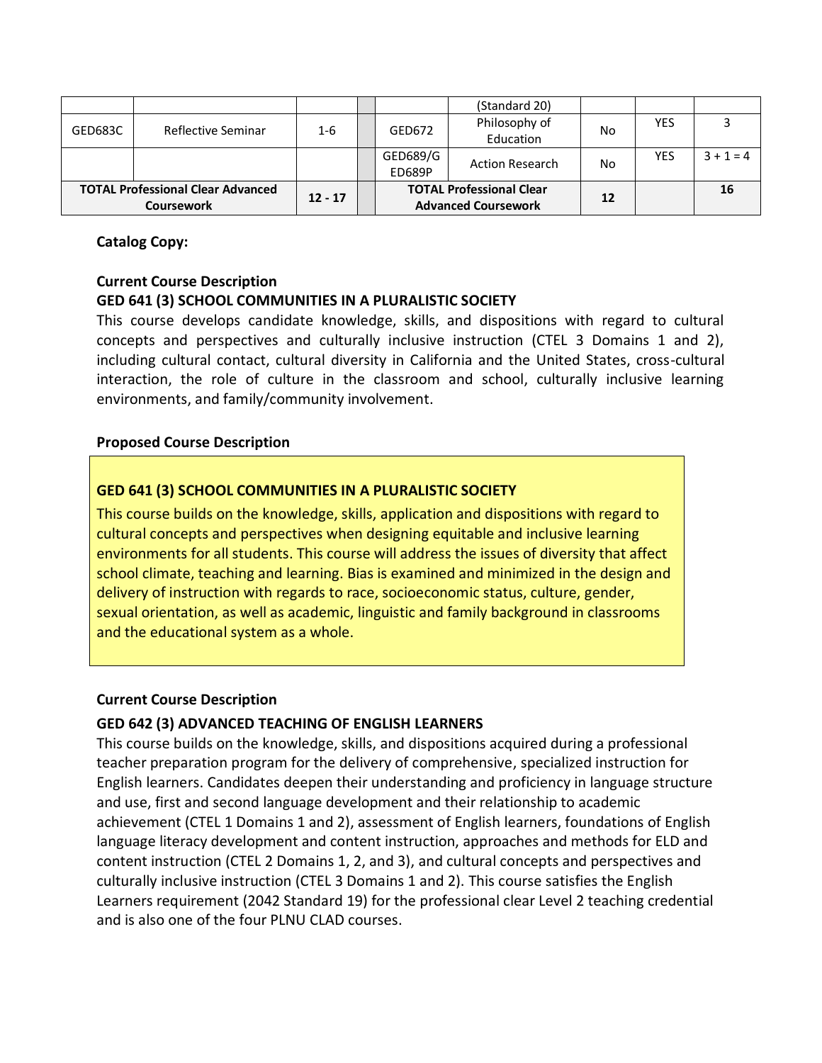| <b>TOTAL Professional Clear Advanced</b><br><b>Coursework</b> |                    | $12 - 17$ | <b>TOTAL Professional Clear</b><br><b>Advanced Coursework</b> |                            | 12 |            | 16          |
|---------------------------------------------------------------|--------------------|-----------|---------------------------------------------------------------|----------------------------|----|------------|-------------|
|                                                               |                    |           | GED689/G<br>ED689P                                            | <b>Action Research</b>     | No | <b>YES</b> | $3 + 1 = 4$ |
| GED683C                                                       | Reflective Seminar | $1 - 6$   | GED672                                                        | Philosophy of<br>Education | No | <b>YES</b> |             |
|                                                               |                    |           |                                                               | (Standard 20)              |    |            |             |

## **Catalog Copy:**

## **Current Course Description**

## **GED 641 (3) SCHOOL COMMUNITIES IN A PLURALISTIC SOCIETY**

This course develops candidate knowledge, skills, and dispositions with regard to cultural concepts and perspectives and culturally inclusive instruction (CTEL 3 Domains 1 and 2), including cultural contact, cultural diversity in California and the United States, cross-cultural interaction, the role of culture in the classroom and school, culturally inclusive learning environments, and family/community involvement.

## **Proposed Course Description**

## **GED 641 (3) SCHOOL COMMUNITIES IN A PLURALISTIC SOCIETY**

This course builds on the knowledge, skills, application and dispositions with regard to cultural concepts and perspectives when designing equitable and inclusive learning environments for all students. This course will address the issues of diversity that affect school climate, teaching and learning. Bias is examined and minimized in the design and delivery of instruction with regards to race, socioeconomic status, culture, gender, sexual orientation, as well as academic, linguistic and family background in classrooms and the educational system as a whole.

## **Current Course Description**

## **GED 642 (3) ADVANCED TEACHING OF ENGLISH LEARNERS**

This course builds on the knowledge, skills, and dispositions acquired during a professional teacher preparation program for the delivery of comprehensive, specialized instruction for English learners. Candidates deepen their understanding and proficiency in language structure and use, first and second language development and their relationship to academic achievement (CTEL 1 Domains 1 and 2), assessment of English learners, foundations of English language literacy development and content instruction, approaches and methods for ELD and content instruction (CTEL 2 Domains 1, 2, and 3), and cultural concepts and perspectives and culturally inclusive instruction (CTEL 3 Domains 1 and 2). This course satisfies the English Learners requirement (2042 Standard 19) for the professional clear Level 2 teaching credential and is also one of the four PLNU CLAD courses.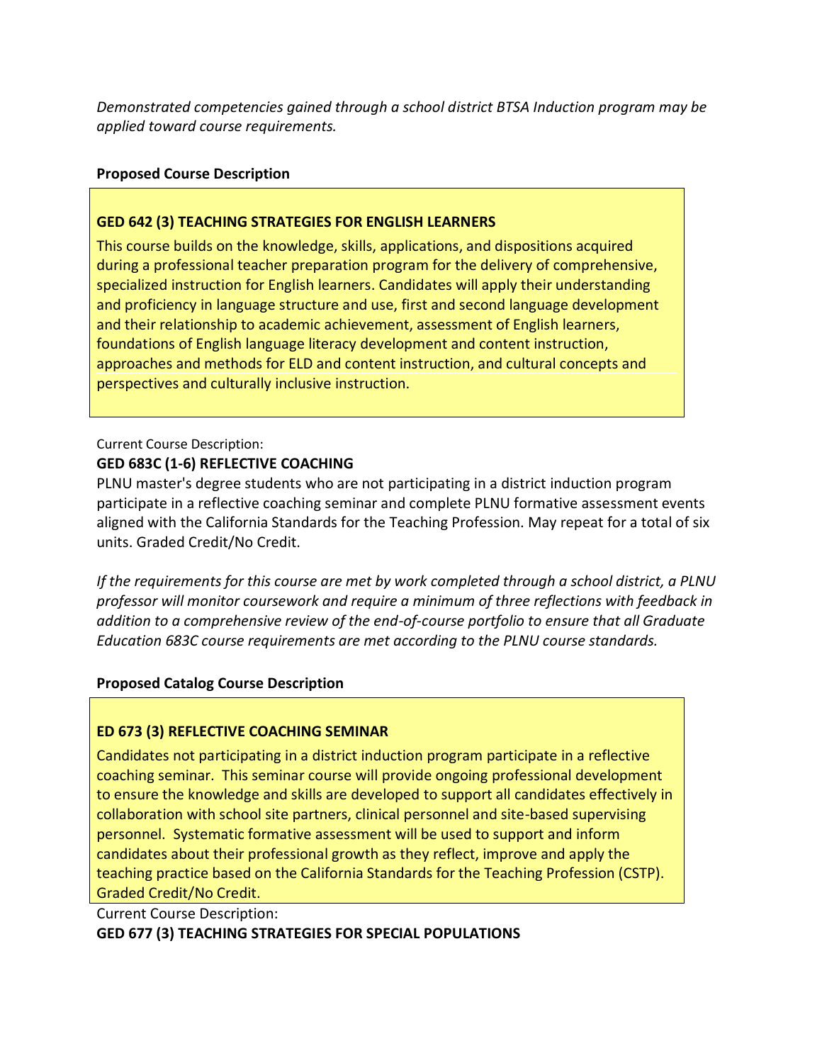*Demonstrated competencies gained through a school district BTSA Induction program may be applied toward course requirements.*

## **Proposed Course Description**

## **GED 642 (3) TEACHING STRATEGIES FOR ENGLISH LEARNERS**

This course builds on the knowledge, skills, applications, and dispositions acquired during a professional teacher preparation program for the delivery of comprehensive, specialized instruction for English learners. Candidates will apply their understanding and proficiency in language structure and use, first and second language development and their relationship to academic achievement, assessment of English learners, foundations of English language literacy development and content instruction, approaches and methods for ELD and content instruction, and cultural concepts and perspectives and culturally inclusive instruction.

Current Course Description:

## **GED 683C (1-6) REFLECTIVE COACHING**

PLNU master's degree students who are not participating in a district induction program participate in a reflective coaching seminar and complete PLNU formative assessment events aligned with the California Standards for the Teaching Profession. May repeat for a total of six units. Graded Credit/No Credit.

*If the requirements for this course are met by work completed through a school district, a PLNU professor will monitor coursework and require a minimum of three reflections with feedback in addition to a comprehensive review of the end-of-course portfolio to ensure that all Graduate Education 683C course requirements are met according to the PLNU course standards.*

## **Proposed Catalog Course Description**

# **ED 673 (3) REFLECTIVE COACHING SEMINAR**

Candidates not participating in a district induction program participate in a reflective coaching seminar. This seminar course will provide ongoing professional development to ensure the knowledge and skills are developed to support all candidates effectively in collaboration with school site partners, clinical personnel and site-based supervising personnel. Systematic formative assessment will be used to support and inform candidates about their professional growth as they reflect, improve and apply the teaching practice based on the California Standards for the Teaching Profession (CSTP). Graded Credit/No Credit.

Current Course Description: **GED 677 (3) TEACHING STRATEGIES FOR SPECIAL POPULATIONS**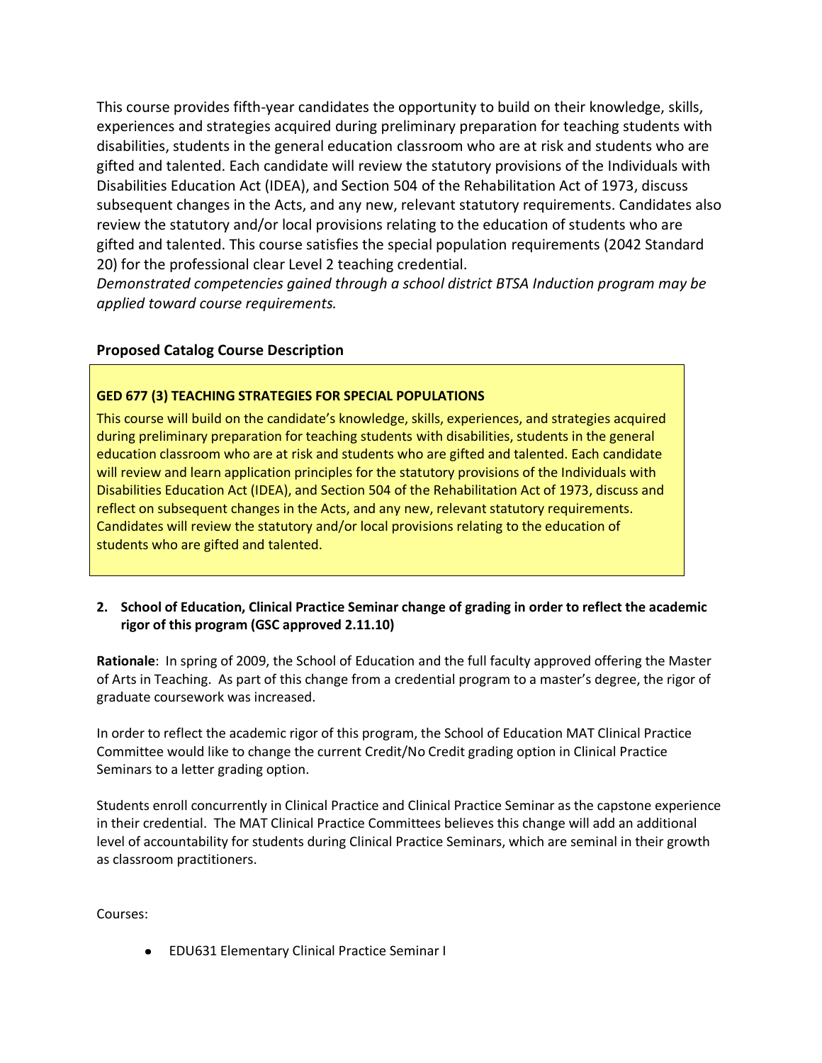This course provides fifth-year candidates the opportunity to build on their knowledge, skills, experiences and strategies acquired during preliminary preparation for teaching students with disabilities, students in the general education classroom who are at risk and students who are gifted and talented. Each candidate will review the statutory provisions of the Individuals with Disabilities Education Act (IDEA), and Section 504 of the Rehabilitation Act of 1973, discuss subsequent changes in the Acts, and any new, relevant statutory requirements. Candidates also review the statutory and/or local provisions relating to the education of students who are gifted and talented. This course satisfies the special population requirements (2042 Standard 20) for the professional clear Level 2 teaching credential.

*Demonstrated competencies gained through a school district BTSA Induction program may be applied toward course requirements.*

## **Proposed Catalog Course Description**

## **GED 677 (3) TEACHING STRATEGIES FOR SPECIAL POPULATIONS**

This course will build on the candidate's knowledge, skills, experiences, and strategies acquired during preliminary preparation for teaching students with disabilities, students in the general education classroom who are at risk and students who are gifted and talented. Each candidate will review and learn application principles for the statutory provisions of the Individuals with Disabilities Education Act (IDEA), and Section 504 of the Rehabilitation Act of 1973, discuss and reflect on subsequent changes in the Acts, and any new, relevant statutory requirements. Candidates will review the statutory and/or local provisions relating to the education of students who are gifted and talented.

## **2. School of Education, Clinical Practice Seminar change of grading in order to reflect the academic rigor of this program (GSC approved 2.11.10)**

**Rationale**: In spring of 2009, the School of Education and the full faculty approved offering the Master of Arts in Teaching. As part of this change from a credential program to a master's degree, the rigor of graduate coursework was increased.

In order to reflect the academic rigor of this program, the School of Education MAT Clinical Practice Committee would like to change the current Credit/No Credit grading option in Clinical Practice Seminars to a letter grading option.

Students enroll concurrently in Clinical Practice and Clinical Practice Seminar as the capstone experience in their credential. The MAT Clinical Practice Committees believes this change will add an additional level of accountability for students during Clinical Practice Seminars, which are seminal in their growth as classroom practitioners.

Courses:

EDU631 Elementary Clinical Practice Seminar I